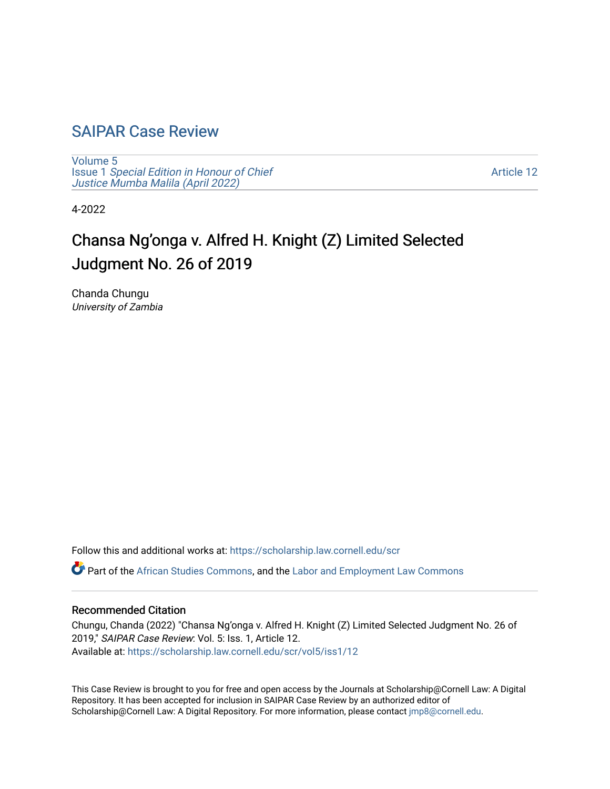## [SAIPAR Case Review](https://scholarship.law.cornell.edu/scr)

[Volume 5](https://scholarship.law.cornell.edu/scr/vol5) Issue 1 [Special Edition in Honour of Chief](https://scholarship.law.cornell.edu/scr/vol5/iss1) [Justice Mumba Malila \(April 2022\)](https://scholarship.law.cornell.edu/scr/vol5/iss1)

[Article 12](https://scholarship.law.cornell.edu/scr/vol5/iss1/12) 

4-2022

# Chansa Ng'onga v. Alfred H. Knight (Z) Limited Selected Judgment No. 26 of 2019

Chanda Chungu University of Zambia

Follow this and additional works at: [https://scholarship.law.cornell.edu/scr](https://scholarship.law.cornell.edu/scr?utm_source=scholarship.law.cornell.edu%2Fscr%2Fvol5%2Fiss1%2F12&utm_medium=PDF&utm_campaign=PDFCoverPages) 

Part of the [African Studies Commons,](https://network.bepress.com/hgg/discipline/1043?utm_source=scholarship.law.cornell.edu%2Fscr%2Fvol5%2Fiss1%2F12&utm_medium=PDF&utm_campaign=PDFCoverPages) and the [Labor and Employment Law Commons](https://network.bepress.com/hgg/discipline/909?utm_source=scholarship.law.cornell.edu%2Fscr%2Fvol5%2Fiss1%2F12&utm_medium=PDF&utm_campaign=PDFCoverPages) 

#### Recommended Citation

Chungu, Chanda (2022) "Chansa Ng'onga v. Alfred H. Knight (Z) Limited Selected Judgment No. 26 of 2019," SAIPAR Case Review: Vol. 5: Iss. 1, Article 12. Available at: [https://scholarship.law.cornell.edu/scr/vol5/iss1/12](https://scholarship.law.cornell.edu/scr/vol5/iss1/12?utm_source=scholarship.law.cornell.edu%2Fscr%2Fvol5%2Fiss1%2F12&utm_medium=PDF&utm_campaign=PDFCoverPages) 

This Case Review is brought to you for free and open access by the Journals at Scholarship@Cornell Law: A Digital Repository. It has been accepted for inclusion in SAIPAR Case Review by an authorized editor of Scholarship@Cornell Law: A Digital Repository. For more information, please contact [jmp8@cornell.edu](mailto:jmp8@cornell.edu).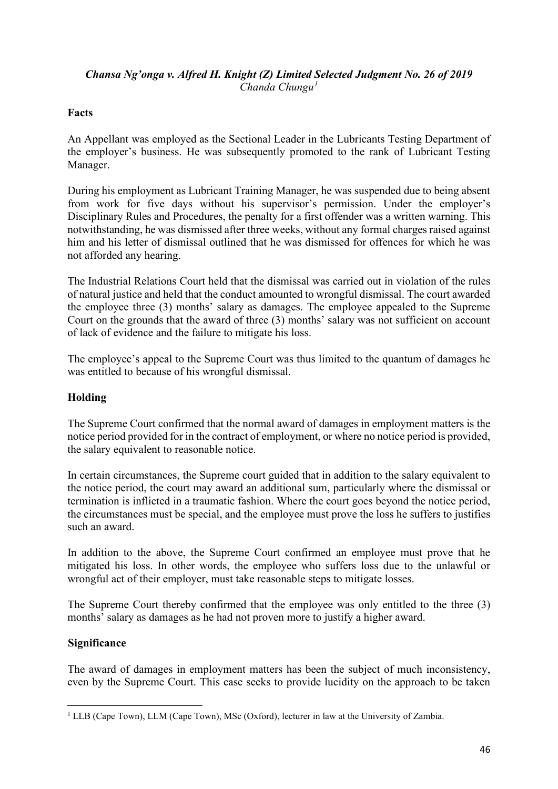#### *Chansa Ng'onga v. Alfred H. Knight (Z) Limited Selected Judgment No. 26 of 2019 Chanda Chungu[1](#page-1-0)*

### **Facts**

An Appellant was employed as the Sectional Leader in the Lubricants Testing Department of the employer's business. He was subsequently promoted to the rank of Lubricant Testing Manager.

During his employment as Lubricant Training Manager, he was suspended due to being absent from work for five days without his supervisor's permission. Under the employer's Disciplinary Rules and Procedures, the penalty for a first offender was a written warning. This notwithstanding, he was dismissed after three weeks, without any formal charges raised against him and his letter of dismissal outlined that he was dismissed for offences for which he was not afforded any hearing.

The Industrial Relations Court held that the dismissal was carried out in violation of the rules of natural justice and held that the conduct amounted to wrongful dismissal. The court awarded the employee three (3) months' salary as damages. The employee appealed to the Supreme Court on the grounds that the award of three (3) months' salary was not sufficient on account of lack of evidence and the failure to mitigate his loss.

The employee's appeal to the Supreme Court was thus limited to the quantum of damages he was entitled to because of his wrongful dismissal.

### **Holding**

The Supreme Court confirmed that the normal award of damages in employment matters is the notice period provided for in the contract of employment, or where no notice period is provided, the salary equivalent to reasonable notice.

In certain circumstances, the Supreme court guided that in addition to the salary equivalent to the notice period, the court may award an additional sum, particularly where the dismissal or termination is inflicted in a traumatic fashion. Where the court goes beyond the notice period, the circumstances must be special, and the employee must prove the loss he suffers to justifies such an award.

In addition to the above, the Supreme Court confirmed an employee must prove that he mitigated his loss. In other words, the employee who suffers loss due to the unlawful or wrongful act of their employer, must take reasonable steps to mitigate losses.

The Supreme Court thereby confirmed that the employee was only entitled to the three (3) months' salary as damages as he had not proven more to justify a higher award.

#### **Significance**

The award of damages in employment matters has been the subject of much inconsistency, even by the Supreme Court. This case seeks to provide lucidity on the approach to be taken

<span id="page-1-0"></span><sup>&</sup>lt;sup>1</sup> LLB (Cape Town), LLM (Cape Town), MSc (Oxford), lecturer in law at the University of Zambia.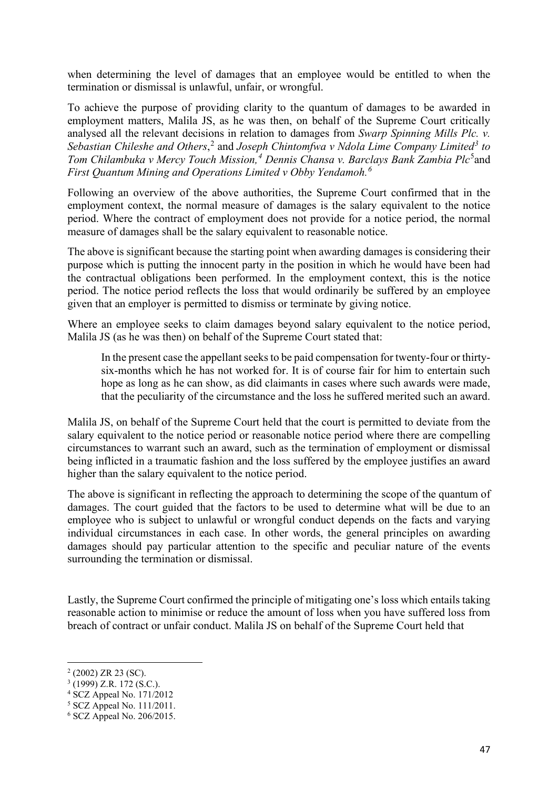when determining the level of damages that an employee would be entitled to when the termination or dismissal is unlawful, unfair, or wrongful.

To achieve the purpose of providing clarity to the quantum of damages to be awarded in employment matters, Malila JS, as he was then, on behalf of the Supreme Court critically analysed all the relevant decisions in relation to damages from *Swarp Spinning Mills Plc. v. Sebastian Chileshe and Others*, [2](#page-2-0) and *Joseph Chintomfwa v Ndola Lime Company Limited[3](#page-2-1) to*  Tom Chilambuka v Mercy Touch Mission,<sup>[4](#page-2-2)</sup> Dennis Chansa v. Barclays Bank Zambia Plc<sup>[5](#page-2-3)</sup>and *First Quantum Mining and Operations Limited v Obby Yendamoh.[6](#page-2-4)*

Following an overview of the above authorities, the Supreme Court confirmed that in the employment context, the normal measure of damages is the salary equivalent to the notice period. Where the contract of employment does not provide for a notice period, the normal measure of damages shall be the salary equivalent to reasonable notice.

The above is significant because the starting point when awarding damages is considering their purpose which is putting the innocent party in the position in which he would have been had the contractual obligations been performed. In the employment context, this is the notice period. The notice period reflects the loss that would ordinarily be suffered by an employee given that an employer is permitted to dismiss or terminate by giving notice.

Where an employee seeks to claim damages beyond salary equivalent to the notice period, Malila JS (as he was then) on behalf of the Supreme Court stated that:

In the present case the appellant seeks to be paid compensation for twenty-four or thirtysix-months which he has not worked for. It is of course fair for him to entertain such hope as long as he can show, as did claimants in cases where such awards were made, that the peculiarity of the circumstance and the loss he suffered merited such an award.

Malila JS, on behalf of the Supreme Court held that the court is permitted to deviate from the salary equivalent to the notice period or reasonable notice period where there are compelling circumstances to warrant such an award, such as the termination of employment or dismissal being inflicted in a traumatic fashion and the loss suffered by the employee justifies an award higher than the salary equivalent to the notice period.

The above is significant in reflecting the approach to determining the scope of the quantum of damages. The court guided that the factors to be used to determine what will be due to an employee who is subject to unlawful or wrongful conduct depends on the facts and varying individual circumstances in each case. In other words, the general principles on awarding damages should pay particular attention to the specific and peculiar nature of the events surrounding the termination or dismissal.

Lastly, the Supreme Court confirmed the principle of mitigating one's loss which entails taking reasonable action to minimise or reduce the amount of loss when you have suffered loss from breach of contract or unfair conduct. Malila JS on behalf of the Supreme Court held that

<span id="page-2-0"></span> $^{2}$  (2002) ZR 23 (SC).<br> $^{3}$  (1999) Z.R. 172 (S.C.).

<span id="page-2-1"></span>

<span id="page-2-2"></span> $4 \text{ SCZ}$  Appeal No. 171/2012

<span id="page-2-3"></span><sup>5</sup> SCZ Appeal No. 111/2011.

<span id="page-2-4"></span><sup>6</sup> SCZ Appeal No. 206/2015.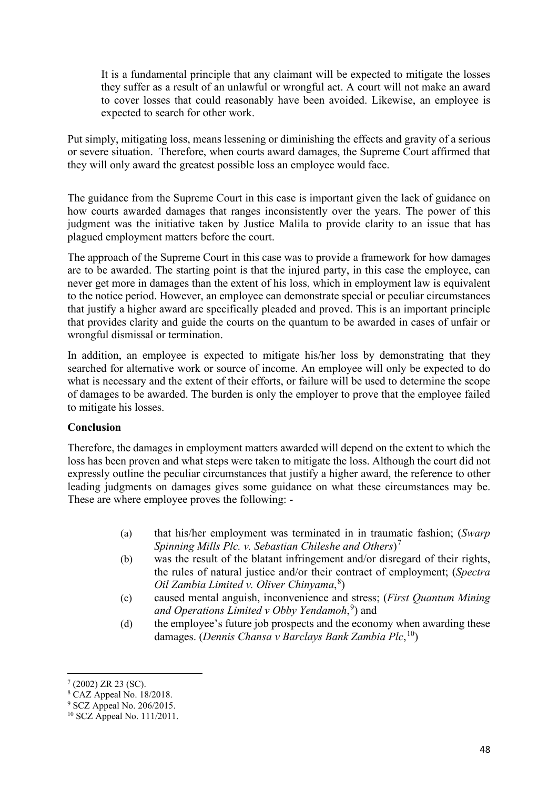It is a fundamental principle that any claimant will be expected to mitigate the losses they suffer as a result of an unlawful or wrongful act. A court will not make an award to cover losses that could reasonably have been avoided. Likewise, an employee is expected to search for other work.

Put simply, mitigating loss, means lessening or diminishing the effects and gravity of a serious or severe situation. Therefore, when courts award damages, the Supreme Court affirmed that they will only award the greatest possible loss an employee would face.

The guidance from the Supreme Court in this case is important given the lack of guidance on how courts awarded damages that ranges inconsistently over the years. The power of this judgment was the initiative taken by Justice Malila to provide clarity to an issue that has plagued employment matters before the court.

The approach of the Supreme Court in this case was to provide a framework for how damages are to be awarded. The starting point is that the injured party, in this case the employee, can never get more in damages than the extent of his loss, which in employment law is equivalent to the notice period. However, an employee can demonstrate special or peculiar circumstances that justify a higher award are specifically pleaded and proved. This is an important principle that provides clarity and guide the courts on the quantum to be awarded in cases of unfair or wrongful dismissal or termination.

In addition, an employee is expected to mitigate his/her loss by demonstrating that they searched for alternative work or source of income. An employee will only be expected to do what is necessary and the extent of their efforts, or failure will be used to determine the scope of damages to be awarded. The burden is only the employer to prove that the employee failed to mitigate his losses.

#### **Conclusion**

Therefore, the damages in employment matters awarded will depend on the extent to which the loss has been proven and what steps were taken to mitigate the loss. Although the court did not expressly outline the peculiar circumstances that justify a higher award, the reference to other leading judgments on damages gives some guidance on what these circumstances may be. These are where employee proves the following: -

- (a) that his/her employment was terminated in in traumatic fashion; (*Swarp Spinning Mills Plc. v. Sebastian Chileshe and Others*)[7](#page-3-0)
- (b) was the result of the blatant infringement and/or disregard of their rights, the rules of natural justice and/or their contract of employment; (*Spectra Oil Zambia Limited v. Oliver Chinyama*, [8](#page-3-1) )
- (c) caused mental anguish, inconvenience and stress; (*First Quantum Mining and Operations Limited v Obby Yendamoh*, [9](#page-3-2) ) and
- (d) the employee's future job prospects and the economy when awarding these damages. (*Dennis Chansa v Barclays Bank Zambia Plc*, [10](#page-3-3))

<span id="page-3-0"></span><sup>7</sup> (2002) ZR 23 (SC).

<span id="page-3-1"></span><sup>8</sup> CAZ Appeal No. 18/2018.

<span id="page-3-2"></span><sup>&</sup>lt;sup>9</sup> SCZ Appeal No. 206/2015.

<span id="page-3-3"></span><sup>10</sup> SCZ Appeal No. 111/2011.